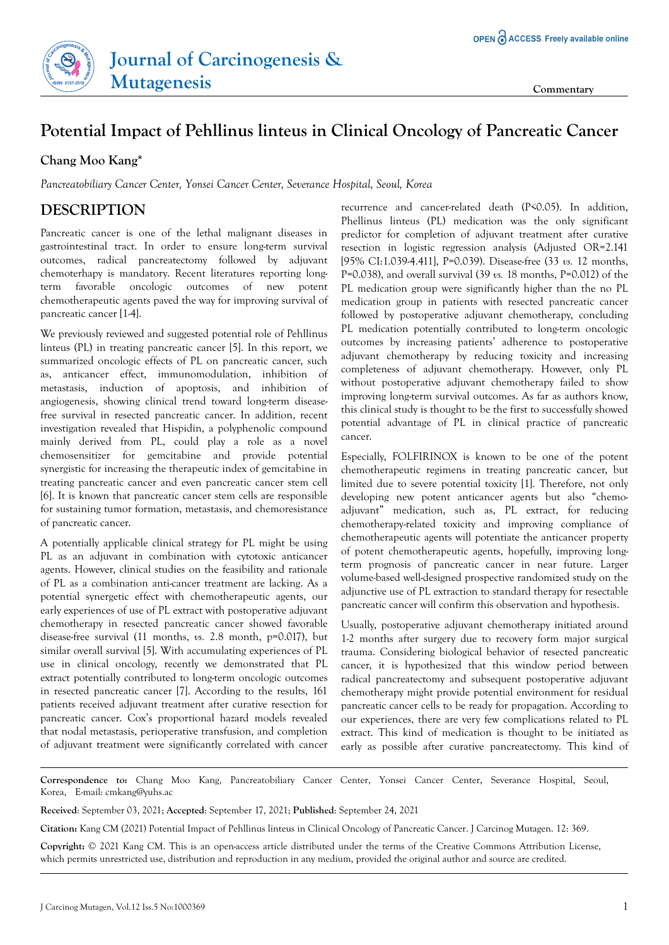



## **Potential Impact of Pehllinus linteus in Clinical Oncology of Pancreatic Cancer**

## **Chang Moo Kang\***

*Pancreatobiliary Cancer Center, Yonsei Cancer Center, Severance Hospital, Seoul, Korea*

## **DESCRIPTION**

Pancreatic cancer is one of the lethal malignant diseases in gastrointestinal tract. In order to ensure long-term survival outcomes, radical pancreatectomy followed by adjuvant chemoterhapy is mandatory. Recent literatures reporting longterm favorable oncologic outcomes of new potent chemotherapeutic agents paved the way for improving survival of pancreatic cancer [1-4].

We previously reviewed and suggested potential role of Pehllinus linteus (PL) in treating pancreatic cancer [5]. In this report, we summarized oncologic effects of PL on pancreatic cancer, such as, anticancer effect, immunomodulation, inhibition of metastasis, induction of apoptosis, and inhibition of angiogenesis, showing clinical trend toward long-term diseasefree survival in resected pancreatic cancer. In addition, recent investigation revealed that Hispidin, a polyphenolic compound mainly derived from PL, could play a role as a novel chemosensitizer for gemcitabine and provide potential synergistic for increasing the therapeutic index of gemcitabine in treating pancreatic cancer and even pancreatic cancer stem cell [6]. It is known that pancreatic cancer stem cells are responsible for sustaining tumor formation, metastasis, and chemoresistance of pancreatic cancer.

A potentially applicable clinical strategy for PL might be using PL as an adjuvant in combination with cytotoxic anticancer agents. However, clinical studies on the feasibility and rationale of PL as a combination anti-cancer treatment are lacking. As a potential synergetic effect with chemotherapeutic agents, our early experiences of use of PL extract with postoperative adjuvant chemotherapy in resected pancreatic cancer showed favorable disease-free survival (11 months, *vs.* 2.8 month, p=0.017), but similar overall survival [5]. With accumulating experiences of PL use in clinical oncology, recently we demonstrated that PL extract potentially contributed to long-term oncologic outcomes in resected pancreatic cancer [7]. According to the results, 161 patients received adjuvant treatment after curative resection for pancreatic cancer. Cox's proportional hazard models revealed that nodal metastasis, perioperative transfusion, and completion of adjuvant treatment were significantly correlated with cancer

recurrence and cancer-related death (P<0.05). In addition, Phellinus linteus (PL) medication was the only significant predictor for completion of adjuvant treatment after curative resection in logistic regression analysis (Adjusted OR=2.141 [95% CI:1.039-4.411], P=0.039). Disease-free (33 *vs.* 12 months, P=0.038), and overall survival (39 *vs.* 18 months, P=0.012) of the PL medication group were significantly higher than the no PL medication group in patients with resected pancreatic cancer followed by postoperative adjuvant chemotherapy, concluding PL medication potentially contributed to long-term oncologic outcomes by increasing patients' adherence to postoperative adjuvant chemotherapy by reducing toxicity and increasing completeness of adjuvant chemotherapy. However, only PL without postoperative adjuvant chemotherapy failed to show improving long-term survival outcomes. As far as authors know, this clinical study is thought to be the first to successfully showed potential advantage of PL in clinical practice of pancreatic cancer.

Especially, FOLFIRINOX is known to be one of the potent chemotherapeutic regimens in treating pancreatic cancer, but limited due to severe potential toxicity [1]. Therefore, not only developing new potent anticancer agents but also "chemoadjuvant" medication, such as, PL extract, for reducing chemotherapy-related toxicity and improving compliance of chemotherapeutic agents will potentiate the anticancer property of potent chemotherapeutic agents, hopefully, improving longterm prognosis of pancreatic cancer in near future. Larger volume-based well-designed prospective randomized study on the adjunctive use of PL extraction to standard therapy for resectable pancreatic cancer will confirm this observation and hypothesis.

Usually, postoperative adjuvant chemotherapy initiated around 1-2 months after surgery due to recovery form major surgical trauma. Considering biological behavior of resected pancreatic cancer, it is hypothesized that this window period between radical pancreatectomy and subsequent postoperative adjuvant chemotherapy might provide potential environment for residual pancreatic cancer cells to be ready for propagation. According to our experiences, there are very few complications related to PL extract. This kind of medication is thought to be initiated as early as possible after curative pancreatectomy. This kind of

**Correspondence to:** Chang Moo Kang, Pancreatobiliary Cancer Center, Yonsei Cancer Center, Severance Hospital, Seoul, Korea, E-mail: cmkang@yuhs.ac

**Received**: September 03, 2021; **Accepted**: September 17, 2021; **Published**: September 24, 2021

**Citation:** Kang CM (2021) Potential Impact of Pehllinus linteus in Clinical Oncology of Pancreatic Cancer. J Carcinog Mutagen. 12: 369.

**Copyright:** © 2021 Kang CM. This is an open-access article distributed under the terms of the Creative Commons Attribution License, which permits unrestricted use, distribution and reproduction in any medium, provided the original author and source are credited.